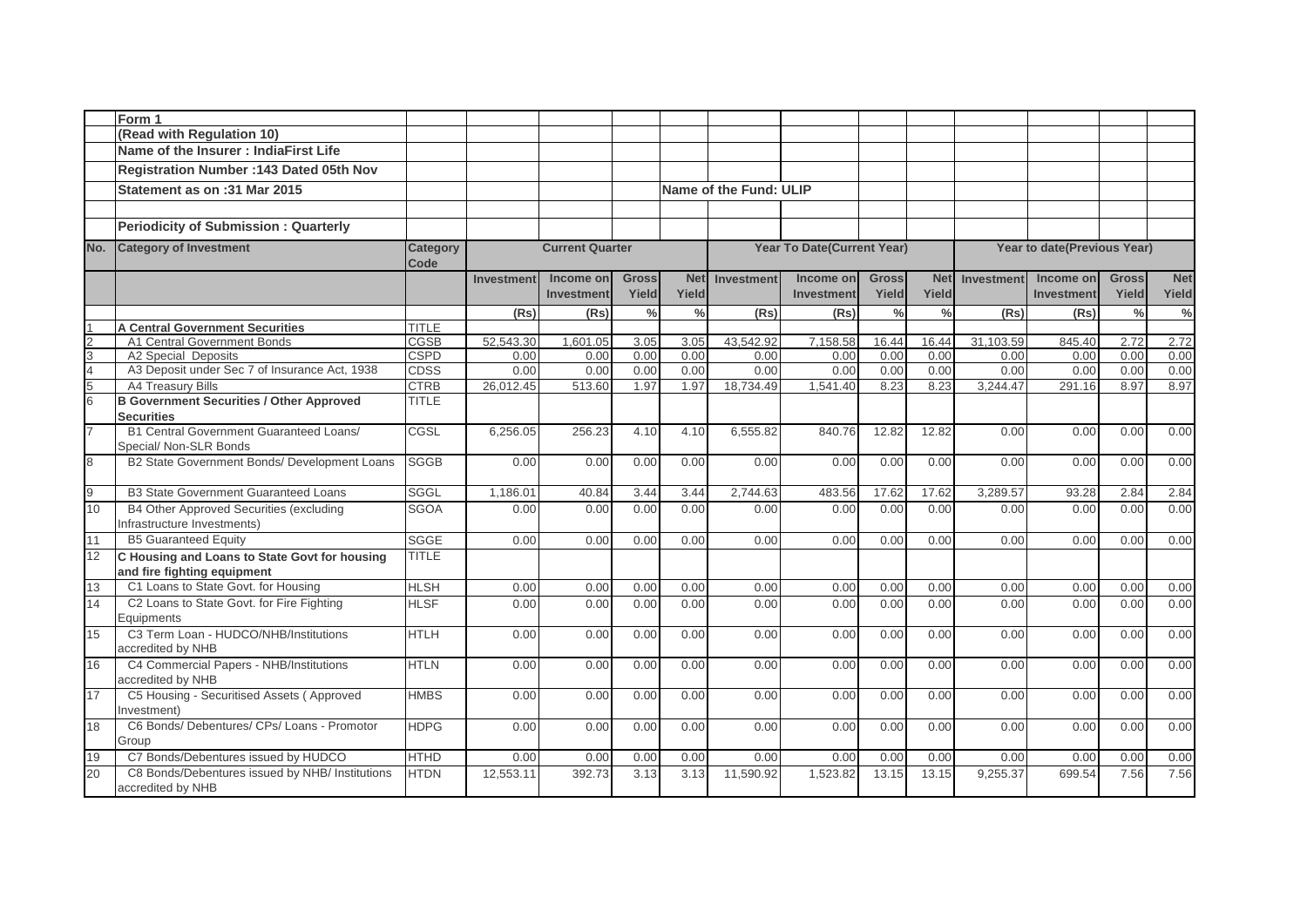|                               | Form 1                                                                   |                         |                   |                        |               |               |                        |                            |               |               |                             |            |               |               |
|-------------------------------|--------------------------------------------------------------------------|-------------------------|-------------------|------------------------|---------------|---------------|------------------------|----------------------------|---------------|---------------|-----------------------------|------------|---------------|---------------|
|                               | (Read with Regulation 10)                                                |                         |                   |                        |               |               |                        |                            |               |               |                             |            |               |               |
|                               | Name of the Insurer: IndiaFirst Life                                     |                         |                   |                        |               |               |                        |                            |               |               |                             |            |               |               |
|                               | <b>Registration Number: 143 Dated 05th Nov</b>                           |                         |                   |                        |               |               |                        |                            |               |               |                             |            |               |               |
|                               | Statement as on :31 Mar 2015                                             |                         |                   |                        |               |               | Name of the Fund: ULIP |                            |               |               |                             |            |               |               |
|                               |                                                                          |                         |                   |                        |               |               |                        |                            |               |               |                             |            |               |               |
|                               | <b>Periodicity of Submission: Quarterly</b>                              |                         |                   |                        |               |               |                        |                            |               |               |                             |            |               |               |
| No.                           | <b>Category of Investment</b>                                            | <b>Category</b><br>Code |                   | <b>Current Quarter</b> |               |               |                        | Year To Date(Current Year) |               |               | Year to date(Previous Year) |            |               |               |
|                               |                                                                          |                         | <b>Investment</b> | Income on              | <b>Gross</b>  | <b>Net</b>    | <b>Investment</b>      | Income on                  | <b>Gross</b>  | <b>Net</b>    | Investment                  | Income on  | <b>Gross</b>  | <b>Net</b>    |
|                               |                                                                          |                         |                   | Investment             | Yield         | Yield         |                        | Investment                 | Yield         | Yield         |                             | Investment | Yield         | Yield         |
|                               |                                                                          |                         | (Rs)              | (Rs)                   | $\frac{0}{0}$ | $\frac{0}{0}$ | (Rs)                   | (Rs)                       | $\frac{0}{0}$ | $\frac{0}{0}$ | (Rs)                        | (Rs)       | $\frac{0}{0}$ | $\frac{6}{6}$ |
|                               | <b>A Central Government Securities</b>                                   | <b>TITLE</b>            |                   |                        |               |               |                        |                            |               |               |                             |            |               |               |
| $\frac{1}{2}$ o $\frac{1}{2}$ | A1 Central Government Bonds                                              | <b>CGSB</b>             | 52.543.30         | 1.601.05               | 3.05          | 3.05          | 43.542.92              | 7.158.58                   | 16.44         | 16.44         | 31.103.59                   | 845.40     | 2.72          | 2.72          |
|                               | <b>A2 Special Deposits</b>                                               | <b>CSPD</b>             | 0.00              | 0.00                   | 0.00          | 0.00          | 0.00                   | 0.00                       | 0.00          | 0.00          | 0.00                        | 0.00       | 0.00          | 0.00          |
|                               | A3 Deposit under Sec 7 of Insurance Act, 1938                            | <b>CDSS</b>             | 0.00              | 0.00                   | 0.00          | 0.00          | 0.00                   | 0.00                       | 0.00          | 0.00          | 0.00                        | 0.00       | 0.00          | 0.00          |
|                               | A4 Treasury Bills                                                        | <b>CTRB</b>             | 26,012.45         | 513.60                 | 1.97          | 1.97          | 18,734.49              | 1,541.40                   | 8.23          | 8.23          | 3,244.47                    | 291.16     | 8.97          | 8.97          |
|                               | <b>B Government Securities / Other Approved</b>                          | <b>TITLE</b>            |                   |                        |               |               |                        |                            |               |               |                             |            |               |               |
|                               | <b>Securities</b>                                                        |                         |                   |                        |               |               |                        |                            |               |               |                             |            |               |               |
| 7                             | <b>B1 Central Government Guaranteed Loans/</b><br>Special/ Non-SLR Bonds | CGSL                    | 6,256.05          | 256.23                 | 4.10          | 4.10          | 6,555.82               | 840.76                     | 12.82         | 12.82         | 0.00                        | 0.00       | 0.00          | 0.00          |
| $8\,$                         | B2 State Government Bonds/ Development Loans                             | <b>SGGB</b>             | 0.00              | 0.00                   | 0.00          | 0.00          | 0.00                   | 0.00                       | 0.00          | 0.00          | 0.00                        | 0.00       | 0.00          | 0.00          |
| $\overline{9}$                | <b>B3 State Government Guaranteed Loans</b>                              | <b>SGGL</b>             | 1.186.01          | 40.84                  | 3.44          | 3.44          | 2,744.63               | 483.56                     | 17.62         | 17.62         | 3.289.57                    | 93.28      | 2.84          | 2.84          |
| 10                            | B4 Other Approved Securities (excluding                                  | <b>SGOA</b>             | 0.00              | 0.00                   | 0.00          | 0.00          | 0.00                   | 0.00                       | 0.00          | 0.00          | 0.00                        | 0.00       | 0.00          | 0.00          |
|                               | Infrastructure Investments)                                              |                         |                   |                        |               |               |                        |                            |               |               |                             |            |               |               |
| 11                            | <b>B5 Guaranteed Equity</b>                                              | <b>SGGE</b>             | 0.00              | 0.00                   | 0.00          | 0.00          | 0.00                   | 0.00                       | 0.00          | 0.00          | 0.00                        | 0.00       | 0.00          | 0.00          |
| 12                            | C Housing and Loans to State Govt for housing                            | <b>TITLE</b>            |                   |                        |               |               |                        |                            |               |               |                             |            |               |               |
|                               | and fire fighting equipment                                              |                         |                   |                        |               |               |                        |                            |               |               |                             |            |               |               |
| 13                            | C1 Loans to State Govt. for Housing                                      | <b>HLSH</b>             | 0.00              | 0.00                   | 0.00          | 0.00          | 0.00                   | 0.00                       | 0.00          | 0.00          | 0.00                        | 0.00       | 0.00          | 0.00          |
| 14                            | C2 Loans to State Govt. for Fire Fighting<br>Equipments                  | <b>HLSF</b>             | 0.00              | 0.00                   | 0.00          | 0.00          | 0.00                   | 0.00                       | 0.00          | 0.00          | 0.00                        | 0.00       | 0.00          | 0.00          |
| 15                            | C3 Term Loan - HUDCO/NHB/Institutions<br>accredited by NHB               | <b>HTLH</b>             | 0.00              | 0.00                   | 0.00          | 0.00          | 0.00                   | 0.00                       | 0.00          | 0.00          | 0.00                        | 0.00       | 0.00          | 0.00          |
| 16                            | C4 Commercial Papers - NHB/Institutions                                  | <b>HTLN</b>             | 0.00              | 0.00                   | 0.00          | 0.00          | 0.00                   | 0.00                       | 0.00          | 0.00          | 0.00                        | 0.00       | 0.00          | 0.00          |
|                               | accredited by NHB                                                        |                         |                   |                        |               |               |                        |                            |               |               |                             |            |               |               |
| 17                            | C5 Housing - Securitised Assets (Approved<br>Investment)                 | <b>HMBS</b>             | 0.00              | 0.00                   | 0.00          | 0.00          | 0.00                   | 0.00                       | 0.00          | 0.00          | 0.00                        | 0.00       | 0.00          | 0.00          |
| 18                            | C6 Bonds/ Debentures/ CPs/ Loans - Promotor<br>Group                     | <b>HDPG</b>             | 0.00              | 0.00                   | 0.00          | 0.00          | 0.00                   | 0.00                       | 0.00          | 0.00          | 0.00                        | 0.00       | 0.00          | 0.00          |
| 19                            | C7 Bonds/Debentures issued by HUDCO                                      | HTHD                    | 0.00              | 0.00                   | 0.00          | 0.00          | 0.00                   | 0.00                       | 0.00          | 0.00          | 0.00                        | 0.00       | 0.00          | 0.00          |
| 20                            | C8 Bonds/Debentures issued by NHB/ Institutions<br>accredited by NHB     | <b>HTDN</b>             | 12,553.11         | 392.73                 | 3.13          | 3.13          | 11,590.92              | 1,523.82                   | 13.15         | 13.15         | 9,255.37                    | 699.54     | 7.56          | 7.56          |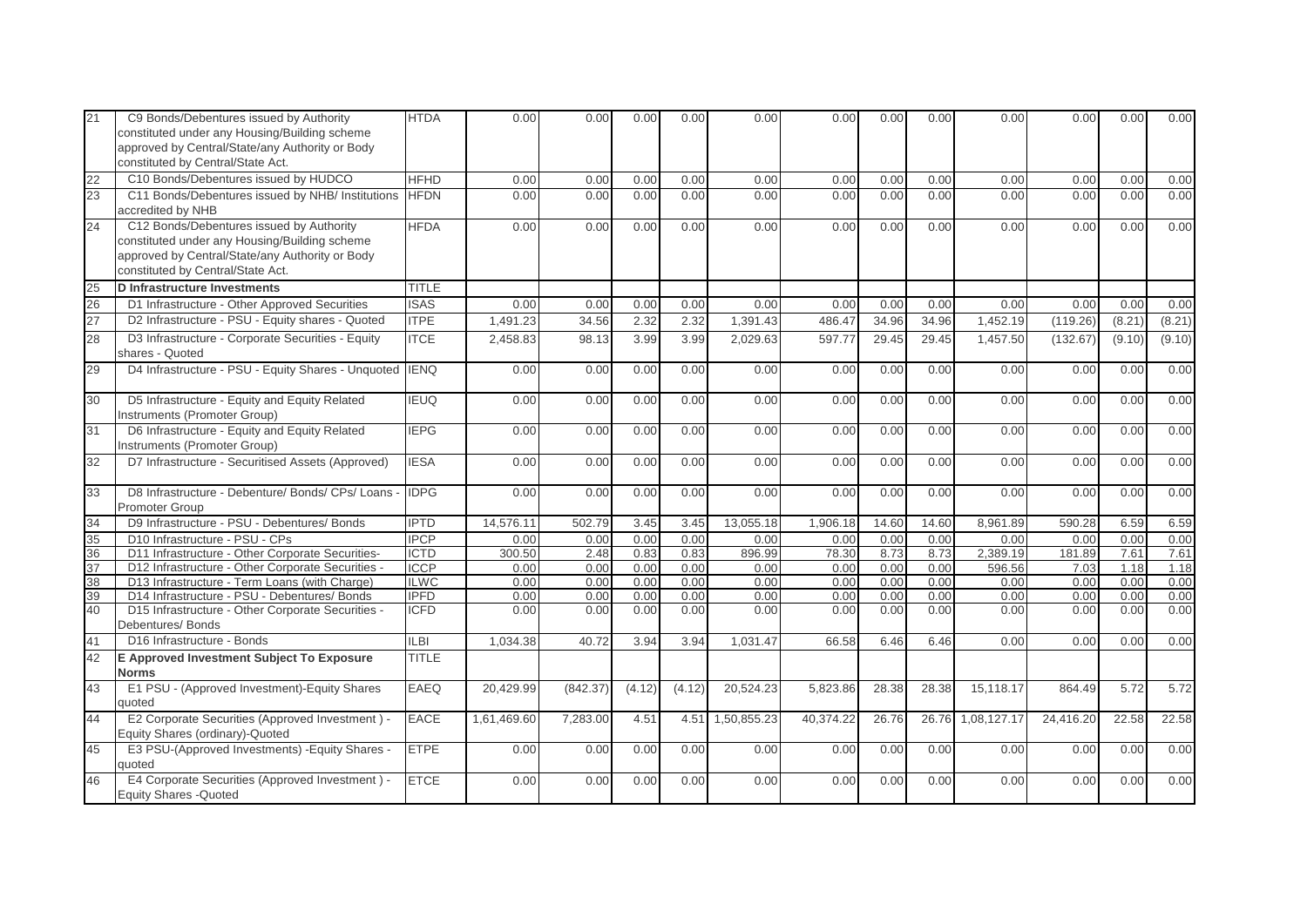| 21       | C9 Bonds/Debentures issued by Authority<br>constituted under any Housing/Building scheme<br>approved by Central/State/any Authority or Body<br>constituted by Central/State Act.  | <b>HTDA</b>                | 0.00         | 0.00         | 0.00         | 0.00         | 0.00         | 0.00         | 0.00         | 0.00         | 0.00         | 0.00         | 0.00         | 0.00         |
|----------|-----------------------------------------------------------------------------------------------------------------------------------------------------------------------------------|----------------------------|--------------|--------------|--------------|--------------|--------------|--------------|--------------|--------------|--------------|--------------|--------------|--------------|
| 22       | C10 Bonds/Debentures issued by HUDCO                                                                                                                                              | <b>HFHD</b>                | 0.00         | 0.00         | 0.00         | 0.00         | 0.00         | 0.00         | 0.00         | 0.00         | 0.00         | 0.00         | 0.00         | 0.00         |
| 23       | C11 Bonds/Debentures issued by NHB/ Institutions<br>accredited by NHB                                                                                                             | <b>HFDN</b>                | 0.00         | 0.00         | 0.00         | 0.00         | 0.00         | 0.00         | 0.00         | 0.00         | 0.00         | 0.00         | 0.00         | 0.00         |
| 24       | C12 Bonds/Debentures issued by Authority<br>constituted under any Housing/Building scheme<br>approved by Central/State/any Authority or Body<br>constituted by Central/State Act. | <b>HFDA</b>                | 0.00         | 0.00         | 0.00         | 0.00         | 0.00         | 0.00         | 0.00         | 0.00         | 0.00         | 0.00         | 0.00         | 0.00         |
| 25       | <b>D</b> Infrastructure Investments                                                                                                                                               | <b>TITLE</b>               |              |              |              |              |              |              |              |              |              |              |              |              |
| 26       | D1 Infrastructure - Other Approved Securities                                                                                                                                     | <b>ISAS</b>                | 0.00         | 0.00         | 0.00         | 0.00         | 0.00         | 0.00         | 0.00         | 0.00         | 0.00         | 0.00         | 0.00         | 0.00         |
| 27       | D2 Infrastructure - PSU - Equity shares - Quoted                                                                                                                                  | <b>ITPE</b>                | 1,491.23     | 34.56        | 2.32         | 2.32         | 1,391.43     | 486.47       | 34.96        | 34.96        | 1,452.19     | (119.26)     | (8.21)       | (8.21)       |
| 28       | D3 Infrastructure - Corporate Securities - Equity<br>shares - Quoted                                                                                                              | <b>ITCE</b>                | 2,458.83     | 98.13        | 3.99         | 3.99         | 2,029.63     | 597.77       | 29.45        | 29.45        | 1,457.50     | (132.67)     | (9.10)       | (9.10)       |
| 29       | D4 Infrastructure - PSU - Equity Shares - Unquoted IENQ                                                                                                                           |                            | 0.00         | 0.00         | 0.00         | 0.00         | 0.00         | 0.00         | 0.00         | 0.00         | 0.00         | 0.00         | 0.00         | 0.00         |
| 30       | D5 Infrastructure - Equity and Equity Related<br>Instruments (Promoter Group)                                                                                                     | <b>IEUQ</b>                | 0.00         | 0.00         | 0.00         | 0.00         | 0.00         | 0.00         | 0.00         | 0.00         | 0.00         | 0.00         | 0.00         | 0.00         |
| 31       | D6 Infrastructure - Equity and Equity Related<br>Instruments (Promoter Group)                                                                                                     | <b>IEPG</b>                | 0.00         | 0.00         | 0.00         | 0.00         | 0.00         | 0.00         | 0.00         | 0.00         | 0.00         | 0.00         | 0.00         | 0.00         |
| 32       | D7 Infrastructure - Securitised Assets (Approved)                                                                                                                                 | <b>IESA</b>                | 0.00         | 0.00         | 0.00         | 0.00         | 0.00         | 0.00         | 0.00         | 0.00         | 0.00         | 0.00         | 0.00         | 0.00         |
| 33       | D8 Infrastructure - Debenture/ Bonds/ CPs/ Loans<br>Promoter Group                                                                                                                | <b>IDPG</b>                | 0.00         | 0.00         | 0.00         | 0.00         | 0.00         | 0.00         | 0.00         | 0.00         | 0.00         | 0.00         | 0.00         | 0.00         |
| 34       | D9 Infrastructure - PSU - Debentures/ Bonds                                                                                                                                       | <b>IPTD</b>                | 14,576.11    | 502.79       | 3.45         | 3.45         | 13.055.18    | 1,906.18     | 14.60        | 14.60        | 8.961.89     | 590.28       | 6.59         | 6.59         |
| 35       | D10 Infrastructure - PSU - CPs                                                                                                                                                    | <b>IPCP</b>                | 0.00         | 0.00         | 0.00         | 0.00         | 0.00         | 0.00         | 0.00         | 0.00         | 0.00         | 0.00         | 0.00         | 0.00         |
| 36       | D11 Infrastructure - Other Corporate Securities-                                                                                                                                  | <b>ICTD</b>                | 300.50       | 2.48         | 0.83         | 0.83         | 896.99       | 78.30        | 8.73         | 8.73         | 2,389.19     | 181.89       | 7.61         | 7.61         |
| 37       | D12 Infrastructure - Other Corporate Securities -                                                                                                                                 | <b>ICCP</b>                | 0.00         | 0.00         | 0.00         | 0.00         | 0.00         | 0.00         | 0.00         | 0.00         | 596.56       | 7.03         | 1.18         | 1.18         |
| 38<br>39 | D13 Infrastructure - Term Loans (with Charge)<br>D14 Infrastructure - PSU - Debentures/ Bonds                                                                                     | <b>ILWC</b><br><b>IPFD</b> | 0.00<br>0.00 | 0.00<br>0.00 | 0.00<br>0.00 | 0.00<br>0.00 | 0.00<br>0.00 | 0.00<br>0.00 | 0.00<br>0.00 | 0.00<br>0.00 | 0.00<br>0.00 | 0.00<br>0.00 | 0.00<br>0.00 | 0.00<br>0.00 |
| 40       | D15 Infrastructure - Other Corporate Securities -<br>Debentures/Bonds                                                                                                             | <b>ICFD</b>                | 0.00         | 0.00         | 0.00         | 0.00         | 0.00         | 0.00         | 0.00         | 0.00         | 0.00         | 0.00         | 0.00         | 0.00         |
| 41       | D16 Infrastructure - Bonds                                                                                                                                                        | LB                         | 1,034.38     | 40.72        | 3.94         | 3.94         | 1,031.47     | 66.58        | 6.46         | 6.46         | 0.00         | 0.00         | 0.00         | 0.00         |
| 42       | E Approved Investment Subject To Exposure<br><b>Norms</b>                                                                                                                         | <b>TITLE</b>               |              |              |              |              |              |              |              |              |              |              |              |              |
| 43       | E1 PSU - (Approved Investment)-Equity Shares<br>quoted                                                                                                                            | EAEQ                       | 20,429.99    | (842.37)     | (4.12)       | (4.12)       | 20,524.23    | 5,823.86     | 28.38        | 28.38        | 15,118.17    | 864.49       | 5.72         | 5.72         |
| 44       | E2 Corporate Securities (Approved Investment) -<br>Equity Shares (ordinary)-Quoted                                                                                                | <b>EACE</b>                | 1,61,469.60  | 7,283.00     | 4.51         | 4.51         | 1,50,855.23  | 40,374.22    | 26.76        | 26.76        | 1,08,127.17  | 24,416.20    | 22.58        | 22.58        |
| 45       | E3 PSU-(Approved Investments) - Equity Shares -<br>quoted                                                                                                                         | <b>ETPE</b>                | 0.00         | 0.00         | 0.00         | 0.00         | 0.00         | 0.00         | 0.00         | 0.00         | 0.00         | 0.00         | 0.00         | 0.00         |
| 46       | E4 Corporate Securities (Approved Investment) -<br><b>Equity Shares - Quoted</b>                                                                                                  | <b>ETCE</b>                | 0.00         | 0.00         | 0.00         | 0.00         | 0.00         | 0.00         | 0.00         | 0.00         | 0.00         | 0.00         | 0.00         | 0.00         |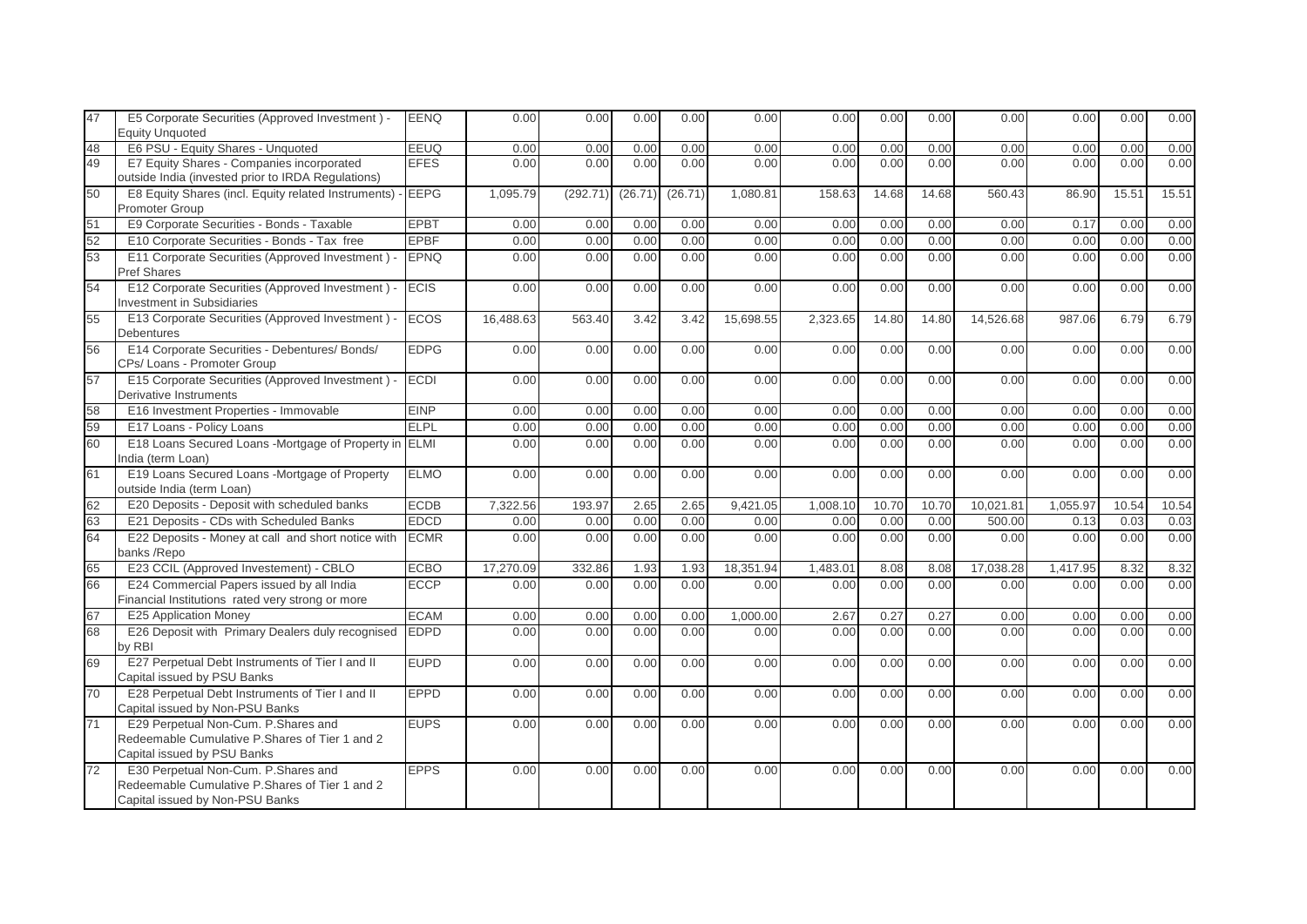| 47 | E5 Corporate Securities (Approved Investment) -<br><b>Equity Unquoted</b>                                                | <b>EENQ</b> | 0.00      | 0.00     | 0.00    | 0.00    | 0.00      | 0.00     | 0.00  | 0.00  | 0.00      | 0.00     | 0.00  | 0.00  |
|----|--------------------------------------------------------------------------------------------------------------------------|-------------|-----------|----------|---------|---------|-----------|----------|-------|-------|-----------|----------|-------|-------|
| 48 | E6 PSU - Equity Shares - Unquoted                                                                                        | <b>EEUQ</b> | 0.00      | 0.00     | 0.00    | 0.00    | 0.00      | 0.00     | 0.00  | 0.00  | 0.00      | 0.00     | 0.00  | 0.00  |
| 49 | E7 Equity Shares - Companies incorporated<br>outside India (invested prior to IRDA Regulations)                          | <b>EFES</b> | 0.00      | 0.00     | 0.00    | 0.00    | 0.00      | 0.00     | 0.00  | 0.00  | 0.00      | 0.00     | 0.00  | 0.00  |
| 50 | E8 Equity Shares (incl. Equity related Instruments) - EEPG<br>Promoter Group                                             |             | 1,095.79  | (292.71) | (26.71) | (26.71) | 1,080.81  | 158.63   | 14.68 | 14.68 | 560.43    | 86.90    | 15.51 | 15.51 |
| 51 | E9 Corporate Securities - Bonds - Taxable                                                                                | <b>EPBT</b> | 0.00      | 0.00     | 0.00    | 0.00    | 0.00      | 0.00     | 0.00  | 0.00  | 0.00      | 0.17     | 0.00  | 0.00  |
| 52 | E10 Corporate Securities - Bonds - Tax free                                                                              | <b>EPBF</b> | 0.00      | 0.00     | 0.00    | 0.00    | 0.00      | 0.00     | 0.00  | 0.00  | 0.00      | 0.00     | 0.00  | 0.00  |
| 53 | E11 Corporate Securities (Approved Investment) -<br>Pref Shares                                                          | <b>EPNQ</b> | 0.00      | 0.00     | 0.00    | 0.00    | 0.00      | 0.00     | 0.00  | 0.00  | 0.00      | 0.00     | 0.00  | 0.00  |
| 54 | E12 Corporate Securities (Approved Investment) -<br><b>Investment in Subsidiaries</b>                                    | <b>ECIS</b> | 0.00      | 0.00     | 0.00    | 0.00    | 0.00      | 0.00     | 0.00  | 0.00  | 0.00      | 0.00     | 0.00  | 0.00  |
| 55 | E13 Corporate Securities (Approved Investment) -<br><b>Debentures</b>                                                    | <b>ECOS</b> | 16,488.63 | 563.40   | 3.42    | 3.42    | 15,698.55 | 2,323.65 | 14.80 | 14.80 | 14,526.68 | 987.06   | 6.79  | 6.79  |
| 56 | E14 Corporate Securities - Debentures/ Bonds/<br>CPs/ Loans - Promoter Group                                             | <b>EDPG</b> | 0.00      | 0.00     | 0.00    | 0.00    | 0.00      | 0.00     | 0.00  | 0.00  | 0.00      | 0.00     | 0.00  | 0.00  |
| 57 | E15 Corporate Securities (Approved Investment) -<br>Derivative Instruments                                               | <b>ECDI</b> | 0.00      | 0.00     | 0.00    | 0.00    | 0.00      | 0.00     | 0.00  | 0.00  | 0.00      | 0.00     | 0.00  | 0.00  |
| 58 | E16 Investment Properties - Immovable                                                                                    | <b>EINP</b> | 0.00      | 0.00     | 0.00    | 0.00    | 0.00      | 0.00     | 0.00  | 0.00  | 0.00      | 0.00     | 0.00  | 0.00  |
| 59 | E17 Loans - Policy Loans                                                                                                 | <b>ELPL</b> | 0.00      | 0.00     | 0.00    | 0.00    | 0.00      | 0.00     | 0.00  | 0.00  | 0.00      | 0.00     | 0.00  | 0.00  |
| 60 | E18 Loans Secured Loans -Mortgage of Property in<br>India (term Loan)                                                    | <b>ELMI</b> | 0.00      | 0.00     | 0.00    | 0.00    | 0.00      | 0.00     | 0.00  | 0.00  | 0.00      | 0.00     | 0.00  | 0.00  |
| 61 | E19 Loans Secured Loans -Mortgage of Property<br>outside India (term Loan)                                               | <b>ELMO</b> | 0.00      | 0.00     | 0.00    | 0.00    | 0.00      | 0.00     | 0.00  | 0.00  | 0.00      | 0.00     | 0.00  | 0.00  |
| 62 | E20 Deposits - Deposit with scheduled banks                                                                              | <b>ECDB</b> | 7,322.56  | 193.97   | 2.65    | 2.65    | 9,421.05  | 1,008.10 | 10.70 | 10.70 | 10,021.81 | 1,055.97 | 10.54 | 10.54 |
| 63 | E21 Deposits - CDs with Scheduled Banks                                                                                  | <b>EDCD</b> | 0.00      | 0.00     | 0.00    | 0.00    | 0.00      | 0.00     | 0.00  | 0.00  | 500.00    | 0.13     | 0.03  | 0.03  |
| 64 | E22 Deposits - Money at call and short notice with<br>banks/Repo                                                         | <b>ECMR</b> | 0.00      | 0.00     | 0.00    | 0.00    | 0.00      | 0.00     | 0.00  | 0.00  | 0.00      | 0.00     | 0.00  | 0.00  |
| 65 | E23 CCIL (Approved Investement) - CBLO                                                                                   | <b>ECBO</b> | 17,270.09 | 332.86   | 1.93    | 1.93    | 18,351.94 | 1,483.01 | 8.08  | 8.08  | 17,038.28 | 1,417.95 | 8.32  | 8.32  |
| 66 | E24 Commercial Papers issued by all India<br>Financial Institutions rated very strong or more                            | <b>ECCP</b> | 0.00      | 0.00     | 0.00    | 0.00    | 0.00      | 0.00     | 0.00  | 0.00  | 0.00      | 0.00     | 0.00  | 0.00  |
| 67 | E25 Application Money                                                                                                    | <b>ECAM</b> | 0.00      | 0.00     | 0.00    | 0.00    | 1,000.00  | 2.67     | 0.27  | 0.27  | 0.00      | 0.00     | 0.00  | 0.00  |
| 68 | E26 Deposit with Primary Dealers duly recognised<br>by RBI                                                               | <b>EDPD</b> | 0.00      | 0.00     | 0.00    | 0.00    | 0.00      | 0.00     | 0.00  | 0.00  | 0.00      | 0.00     | 0.00  | 0.00  |
| 69 | E27 Perpetual Debt Instruments of Tier I and II<br>Capital issued by PSU Banks                                           | <b>EUPD</b> | 0.00      | 0.00     | 0.00    | 0.00    | 0.00      | 0.00     | 0.00  | 0.00  | 0.00      | 0.00     | 0.00  | 0.00  |
| 70 | E28 Perpetual Debt Instruments of Tier I and II<br>Capital issued by Non-PSU Banks                                       | <b>EPPD</b> | 0.00      | 0.00     | 0.00    | 0.00    | 0.00      | 0.00     | 0.00  | 0.00  | 0.00      | 0.00     | 0.00  | 0.00  |
| 71 | E29 Perpetual Non-Cum. P.Shares and<br>Redeemable Cumulative P.Shares of Tier 1 and 2<br>Capital issued by PSU Banks     | <b>EUPS</b> | 0.00      | 0.00     | 0.00    | 0.00    | 0.00      | 0.00     | 0.00  | 0.00  | 0.00      | 0.00     | 0.00  | 0.00  |
| 72 | E30 Perpetual Non-Cum. P.Shares and<br>Redeemable Cumulative P.Shares of Tier 1 and 2<br>Capital issued by Non-PSU Banks | <b>EPPS</b> | 0.00      | 0.00     | 0.00    | 0.00    | 0.00      | 0.00     | 0.00  | 0.00  | 0.00      | 0.00     | 0.00  | 0.00  |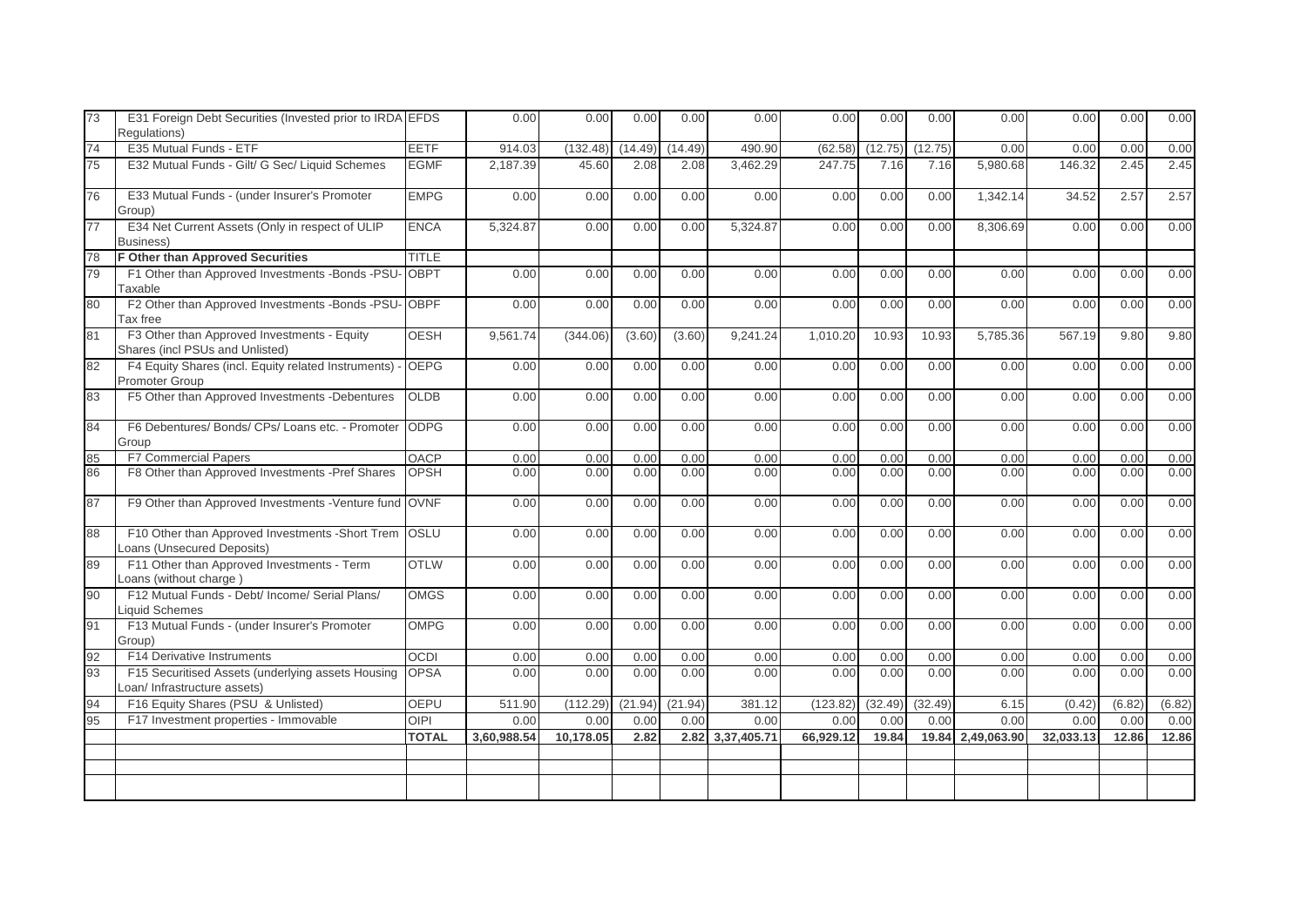| 73 | E31 Foreign Debt Securities (Invested prior to IRDA EFDS<br>Regulations)           |              | 0.00        | 0.00      | 0.00    | 0.00    | 0.00             | 0.00      | 0.00    | 0.00    | 0.00        | 0.00      | 0.00   | 0.00   |
|----|------------------------------------------------------------------------------------|--------------|-------------|-----------|---------|---------|------------------|-----------|---------|---------|-------------|-----------|--------|--------|
| 74 | E35 Mutual Funds - ETF                                                             | <b>EETF</b>  | 914.03      | (132.48)  | (14.49) | (14.49) | 490.90           | (62.58)   | (12.75) | (12.75) | 0.00        | 0.00      | 0.00   | 0.00   |
| 75 | E32 Mutual Funds - Gilt/ G Sec/ Liquid Schemes                                     | <b>EGMF</b>  | 2,187.39    | 45.60     | 2.08    | 2.08    | 3,462.29         | 247.75    | 7.16    | 7.16    | 5,980.68    | 146.32    | 2.45   | 2.45   |
| 76 | E33 Mutual Funds - (under Insurer's Promoter<br>Group)                             | <b>EMPG</b>  | 0.00        | 0.00      | 0.00    | 0.00    | 0.00             | 0.00      | 0.00    | 0.00    | 1,342.14    | 34.52     | 2.57   | 2.57   |
| 77 | E34 Net Current Assets (Only in respect of ULIP<br>Business)                       | <b>ENCA</b>  | 5,324.87    | 0.00      | 0.00    | 0.00    | 5,324.87         | 0.00      | 0.00    | 0.00    | 8,306.69    | 0.00      | 0.00   | 0.00   |
| 78 | F Other than Approved Securities                                                   | <b>TITLE</b> |             |           |         |         |                  |           |         |         |             |           |        |        |
| 79 | F1 Other than Approved Investments -Bonds -PSU-<br><b>Taxable</b>                  | <b>OBPT</b>  | 0.00        | 0.00      | 0.00    | 0.00    | 0.00             | 0.00      | 0.00    | 0.00    | 0.00        | 0.00      | 0.00   | 0.00   |
| 80 | F2 Other than Approved Investments -Bonds -PSU-<br>Tax free                        | <b>OBPF</b>  | 0.00        | 0.00      | 0.00    | 0.00    | 0.00             | 0.00      | 0.00    | 0.00    | 0.00        | 0.00      | 0.00   | 0.00   |
| 81 | F3 Other than Approved Investments - Equity<br>Shares (incl PSUs and Unlisted)     | <b>OESH</b>  | 9,561.74    | (344.06)  | (3.60)  | (3.60)  | 9,241.24         | 1,010.20  | 10.93   | 10.93   | 5,785.36    | 567.19    | 9.80   | 9.80   |
| 82 | F4 Equity Shares (incl. Equity related Instruments)<br>Promoter Group              | <b>OEPG</b>  | 0.00        | 0.00      | 0.00    | 0.00    | 0.00             | 0.00      | 0.00    | 0.00    | 0.00        | 0.00      | 0.00   | 0.00   |
| 83 | F5 Other than Approved Investments -Debentures                                     | <b>OLDB</b>  | 0.00        | 0.00      | 0.00    | 0.00    | 0.00             | 0.00      | 0.00    | 0.00    | 0.00        | 0.00      | 0.00   | 0.00   |
| 84 | F6 Debentures/ Bonds/ CPs/ Loans etc. - Promoter<br>Group                          | <b>ODPG</b>  | 0.00        | 0.00      | 0.00    | 0.00    | 0.00             | 0.00      | 0.00    | 0.00    | 0.00        | 0.00      | 0.00   | 0.00   |
| 85 | <b>F7 Commercial Papers</b>                                                        | <b>OACP</b>  | 0.00        | 0.00      | 0.00    | 0.00    | 0.00             | 0.00      | 0.00    | 0.00    | 0.00        | 0.00      | 0.00   | 0.00   |
| 86 | F8 Other than Approved Investments -Pref Shares                                    | <b>OPSH</b>  | 0.00        | 0.00      | 0.00    | 0.00    | 0.00             | 0.00      | 0.00    | 0.00    | 0.00        | 0.00      | 0.00   | 0.00   |
| 87 | F9 Other than Approved Investments -Venture fund OVNF                              |              | 0.00        | 0.00      | 0.00    | 0.00    | 0.00             | 0.00      | 0.00    | 0.00    | 0.00        | 0.00      | 0.00   | 0.00   |
| 88 | F10 Other than Approved Investments -Short Trem OSLU<br>Loans (Unsecured Deposits) |              | 0.00        | 0.00      | 0.00    | 0.00    | 0.00             | 0.00      | 0.00    | 0.00    | 0.00        | 0.00      | 0.00   | 0.00   |
| 89 | F11 Other than Approved Investments - Term<br>Loans (without charge)               | <b>OTLW</b>  | 0.00        | 0.00      | 0.00    | 0.00    | 0.00             | 0.00      | 0.00    | 0.00    | 0.00        | 0.00      | 0.00   | 0.00   |
| 90 | F12 Mutual Funds - Debt/ Income/ Serial Plans/<br>iquid Schemes                    | <b>OMGS</b>  | 0.00        | 0.00      | 0.00    | 0.00    | 0.00             | 0.00      | 0.00    | 0.00    | 0.00        | 0.00      | 0.00   | 0.00   |
| 91 | F13 Mutual Funds - (under Insurer's Promoter<br>Group)                             | <b>OMPG</b>  | 0.00        | 0.00      | 0.00    | 0.00    | 0.00             | 0.00      | 0.00    | 0.00    | 0.00        | 0.00      | 0.00   | 0.00   |
| 92 | F14 Derivative Instruments                                                         | <b>OCDI</b>  | 0.00        | 0.00      | 0.00    | 0.00    | 0.00             | 0.00      | 0.00    | 0.00    | 0.00        | 0.00      | 0.00   | 0.00   |
| 93 | F15 Securitised Assets (underlying assets Housing<br>Loan/ Infrastructure assets)  | <b>OPSA</b>  | 0.00        | 0.00      | 0.00    | 0.00    | 0.00             | 0.00      | 0.00    | 0.00    | 0.00        | 0.00      | 0.00   | 0.00   |
| 94 | F16 Equity Shares (PSU & Unlisted)                                                 | <b>OEPU</b>  | 511.90      | (112.29)  | (21.94) | (21.94) | 381.12           | (123.82)  | (32.49) | (32.49) | 6.15        | (0.42)    | (6.82) | (6.82) |
| 95 | F17 Investment properties - Immovable                                              | <b>OIPI</b>  | 0.00        | 0.00      | 0.00    | 0.00    | 0.00             | 0.00      | 0.00    | 0.00    | 0.00        | 0.00      | 0.00   | 0.00   |
|    |                                                                                    | <b>TOTAL</b> | 3,60,988.54 | 10,178.05 | 2.82    |         | 2.82 3,37,405.71 | 66,929.12 | 19.84   | 19.84   | 2,49,063.90 | 32,033.13 | 12.86  | 12.86  |
|    |                                                                                    |              |             |           |         |         |                  |           |         |         |             |           |        |        |
|    |                                                                                    |              |             |           |         |         |                  |           |         |         |             |           |        |        |
|    |                                                                                    |              |             |           |         |         |                  |           |         |         |             |           |        |        |